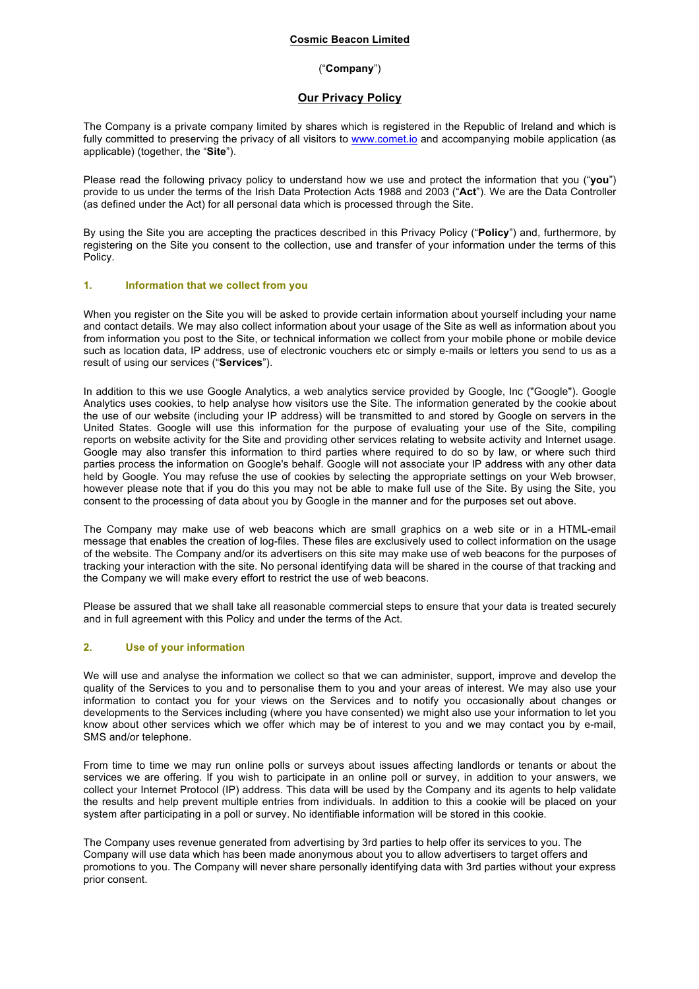# **Cosmic Beacon Limited**

### ("**Company**")

# **Our Privacy Policy**

The Company is a private company limited by shares which is registered in the Republic of Ireland and which is fully committed to preserving the privacy of all visitors to www.comet.io and accompanying mobile application (as applicable) (together, the "**Site**").

Please read the following privacy policy to understand how we use and protect the information that you ("**you**") provide to us under the terms of the Irish Data Protection Acts 1988 and 2003 ("**Act**"). We are the Data Controller (as defined under the Act) for all personal data which is processed through the Site.

By using the Site you are accepting the practices described in this Privacy Policy ("**Policy**") and, furthermore, by registering on the Site you consent to the collection, use and transfer of your information under the terms of this Policy.

### **1. Information that we collect from you**

When you register on the Site you will be asked to provide certain information about yourself including your name and contact details. We may also collect information about your usage of the Site as well as information about you from information you post to the Site, or technical information we collect from your mobile phone or mobile device such as location data, IP address, use of electronic vouchers etc or simply e-mails or letters you send to us as a result of using our services ("**Services**").

In addition to this we use Google Analytics, a web analytics service provided by Google, Inc ("Google"). Google Analytics uses cookies, to help analyse how visitors use the Site. The information generated by the cookie about the use of our website (including your IP address) will be transmitted to and stored by Google on servers in the United States. Google will use this information for the purpose of evaluating your use of the Site, compiling reports on website activity for the Site and providing other services relating to website activity and Internet usage. Google may also transfer this information to third parties where required to do so by law, or where such third parties process the information on Google's behalf. Google will not associate your IP address with any other data held by Google. You may refuse the use of cookies by selecting the appropriate settings on your Web browser, however please note that if you do this you may not be able to make full use of the Site. By using the Site, you consent to the processing of data about you by Google in the manner and for the purposes set out above.

The Company may make use of web beacons which are small graphics on a web site or in a HTML-email message that enables the creation of log-files. These files are exclusively used to collect information on the usage of the website. The Company and/or its advertisers on this site may make use of web beacons for the purposes of tracking your interaction with the site. No personal identifying data will be shared in the course of that tracking and the Company we will make every effort to restrict the use of web beacons.

Please be assured that we shall take all reasonable commercial steps to ensure that your data is treated securely and in full agreement with this Policy and under the terms of the Act.

# **2. Use of your information**

We will use and analyse the information we collect so that we can administer, support, improve and develop the quality of the Services to you and to personalise them to you and your areas of interest. We may also use your information to contact you for your views on the Services and to notify you occasionally about changes or developments to the Services including (where you have consented) we might also use your information to let you know about other services which we offer which may be of interest to you and we may contact you by e-mail, SMS and/or telephone.

From time to time we may run online polls or surveys about issues affecting landlords or tenants or about the services we are offering. If you wish to participate in an online poll or survey, in addition to your answers, we collect your Internet Protocol (IP) address. This data will be used by the Company and its agents to help validate the results and help prevent multiple entries from individuals. In addition to this a cookie will be placed on your system after participating in a poll or survey. No identifiable information will be stored in this cookie.

The Company uses revenue generated from advertising by 3rd parties to help offer its services to you. The Company will use data which has been made anonymous about you to allow advertisers to target offers and promotions to you. The Company will never share personally identifying data with 3rd parties without your express prior consent.